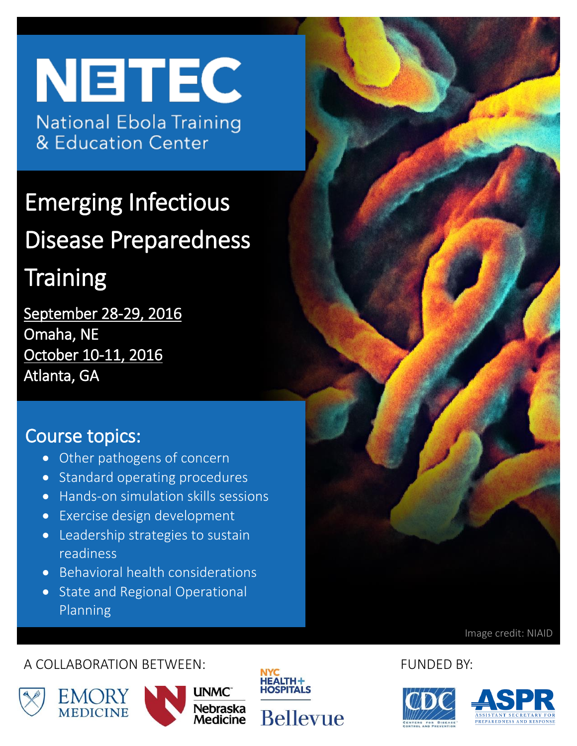# **NETEC National Ebola Training** & Education Center

Emerging Infectious Disease Preparedness

# **Training**

September 28-29, 2016 Omaha, NE October 10-11, 2016 Atlanta, GA

### Course topics:

- Other pathogens of concern
- Standard operating procedures
- Hands-on simulation skills sessions
- Exercise design development
- Leadership strategies to sustain readiness
- Behavioral health considerations
- State and Regional Operational Planning

Image credit: NIAID

#### A COLLABORATION BETWEEN: FUNDED BY:













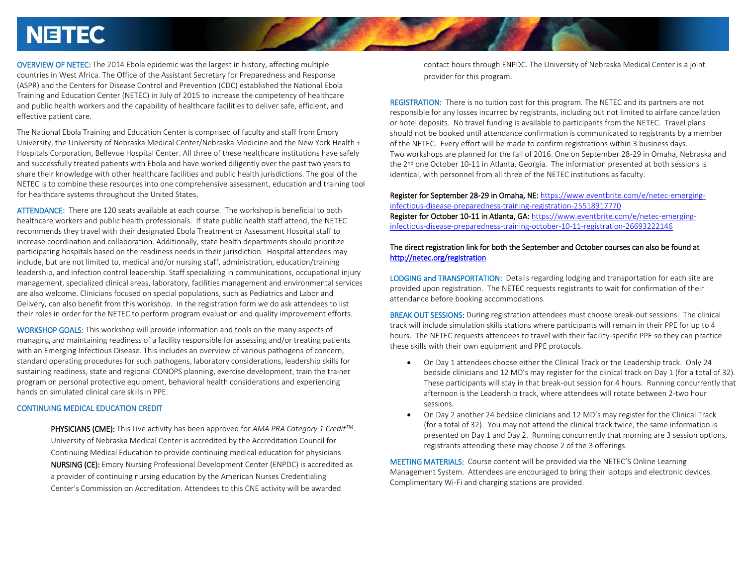### **NETEC**

OVERVIEW OF NETEC: The 2014 Ebola epidemic was the largest in history, affecting multiple countries in West Africa. The Office of the Assistant Secretary for Preparedness and Response (ASPR) and the Centers for Disease Control and Prevention (CDC) established the National Ebola Training and Education Center (NETEC) in July of 2015 to increase the competency of healthcare and public health workers and the capability of healthcare facilities to deliver safe, efficient, and effective patient care.

The National Ebola Training and Education Center is comprised of faculty and staff from Emory University, the University of Nebraska Medical Center/Nebraska Medicine and the New York Health + Hospitals Corporation, Bellevue Hospital Center. All three of these healthcare institutions have safely and successfully treated patients with Ebola and have worked diligently over the past two years to share their knowledge with other healthcare facilities and public health jurisdictions. The goal of the NETEC is to combine these resources into one comprehensive assessment, education and training tool for healthcare systems throughout the United States.

ATTENDANCE: There are 120 seats available at each course. The workshop is beneficial to both healthcare workers and public health professionals. If state public health staff attend, the NETEC recommends they travel with their designated Ebola Treatment or Assessment Hospital staff to increase coordination and collaboration. Additionally, state health departments should prioritize participating hospitals based on the readiness needs in their jurisdiction. Hospital attendees may include, but are not limited to, medical and/or nursing staff, administration, education/training leadership, and infection control leadership. Staff specializing in communications, occupational injury management, specialized clinical areas, laboratory, facilities management and environmental services are also welcome. Clinicians focused on special populations, such as Pediatrics and Labor and Delivery, can also benefit from this workshop. In the registration form we do ask attendees to list their roles in order for the NETEC to perform program evaluation and quality improvement efforts.

WORKSHOP GOALS: This workshop will provide information and tools on the many aspects of managing and maintaining readiness of a facility responsible for assessing and/or treating patients with an Emerging Infectious Disease. This includes an overview of various pathogens of concern, standard operating procedures for such pathogens, laboratory considerations, leadership skills for sustaining readiness, state and regional CONOPS planning, exercise development, train the trainer program on personal protective equipment, behavioral health considerations and experiencing hands on simulated clinical care skills in PPE.

#### CONTINUING MEDICAL EDUCATION CREDIT

PHYSICIANS (CME): This Live activity has been approved for *AMA PRA Category 1 CreditTM*. University of Nebraska Medical Center is accredited by the Accreditation Council for Continuing Medical Education to provide continuing medical education for physicians NURSING (CE): Emory Nursing Professional Development Center (ENPDC) is accredited as a provider of continuing nursing education by the American Nurses Credentialing Center's Commission on Accreditation. Attendees to this CNE activity will be awarded

contact hours through ENPDC. The University of Nebraska Medical Center is a joint provider for this program.

REGISTRATION: There is no tuition cost for this program. The NETEC and its partners are not responsible for any losses incurred by registrants, including but not limited to airfare cancellation or hotel deposits. No travel funding is available to participants from the NETEC. Travel plans should not be booked until attendance confirmation is communicated to registrants by a member of the NETEC. Every effort will be made to confirm registrations within 3 business days. Two workshops are planned for the fall of 2016. One on September 28-29 in Omaha, Nebraska and the 2<sup>nd</sup> one October 10-11 in Atlanta, Georgia. The information presented at both sessions is identical, with personnel from all three of the NETEC institutions as faculty.

Register for September 28-29 in Omaha, NE: [https://www.eventbrite.com/e/netec-emerging](https://www.eventbrite.com/e/netec-emerging-infectious-disease-preparedness-training-registration-25518917770)[infectious-disease-preparedness-training-registration-25518917770](https://www.eventbrite.com/e/netec-emerging-infectious-disease-preparedness-training-registration-25518917770)  Register for October 10-11 in Atlanta, GA: [https://www.eventbrite.com/e/netec-emerging](https://www.eventbrite.com/e/netec-emerging-infectious-disease-preparedness-training-october-10-11-registration-26693222146)[infectious-disease-preparedness-training-october-10-11-registration-26693222146](https://www.eventbrite.com/e/netec-emerging-infectious-disease-preparedness-training-october-10-11-registration-26693222146)

#### The direct registration link for both the September and October courses can also be found at <http://netec.org/registration>

LODGING and TRANSPORTATION: Details regarding lodging and transportation for each site are provided upon registration. The NETEC requests registrants to wait for confirmation of their attendance before booking accommodations.

BREAK OUT SESSIONS: During registration attendees must choose break-out sessions. The clinical track will include simulation skills stations where participants will remain in their PPE for up to 4 hours. The NETEC requests attendees to travel with their facility-specific PPE so they can practice these skills with their own equipment and PPE protocols.

- On Day 1 attendees choose either the Clinical Track or the Leadership track. Only 24 bedside clinicians and 12 MD's may register for the clinical track on Day 1 (for a total of 32). These participants will stay in that break-out session for 4 hours. Running concurrently that afternoon is the Leadership track, where attendees will rotate between 2-two hour sessions.
- On Day 2 another 24 bedside clinicians and 12 MD's may register for the Clinical Track (for a total of 32). You may not attend the clinical track twice, the same information is presented on Day 1 and Day 2. Running concurrently that morning are 3 session options, registrants attending these may choose 2 of the 3 offerings.

MEETING MATERIALS: Course content will be provided via the NETEC'S Online Learning Management System. Attendees are encouraged to bring their laptops and electronic devices. Complimentary Wi-Fi and charging stations are provided.